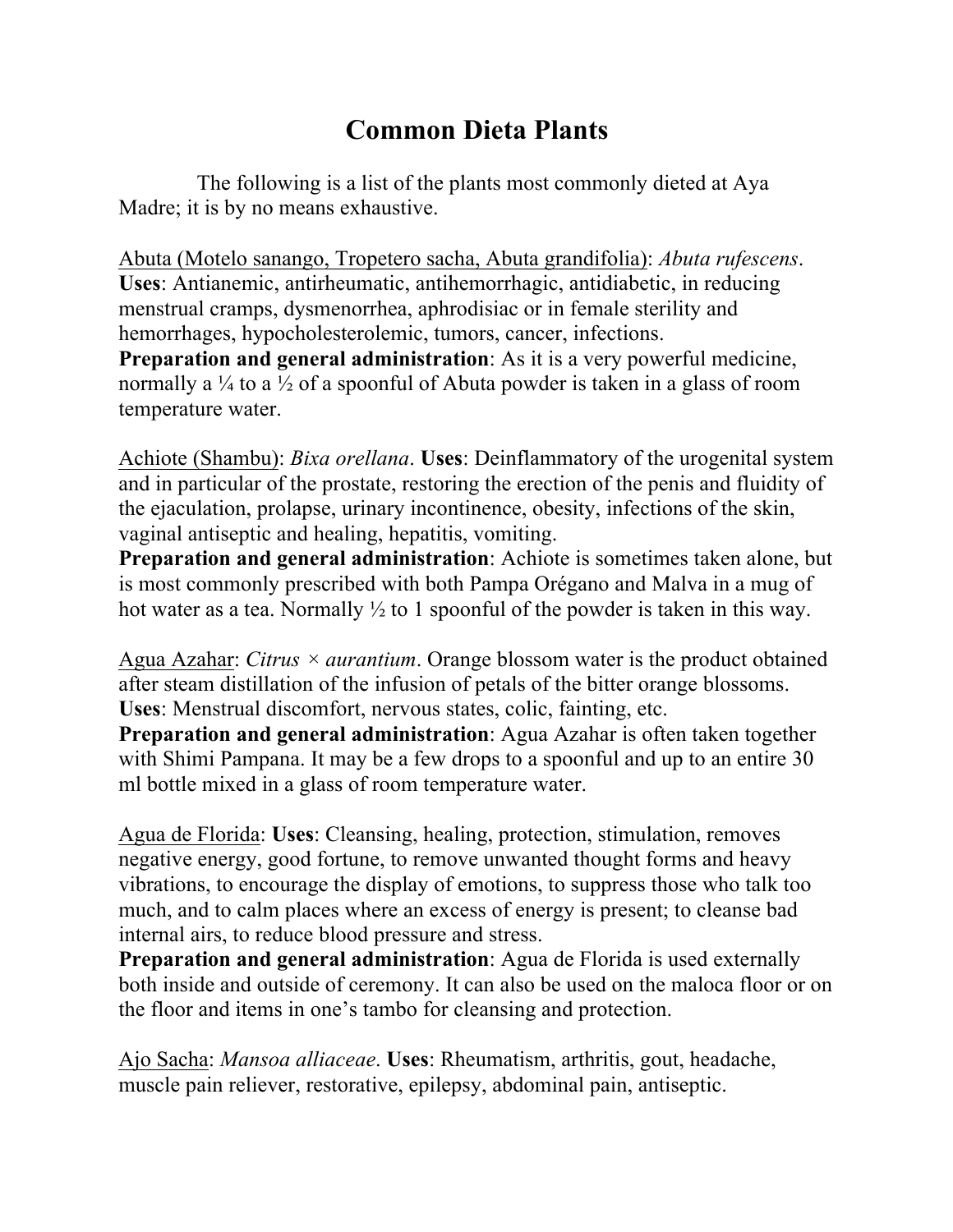## **Common Dieta Plants**

The following is a list of the plants most commonly dieted at Aya Madre; it is by no means exhaustive.

Abuta (Motelo sanango, Tropetero sacha, Abuta grandifolia): *Abuta rufescens*. **Uses**: Antianemic, antirheumatic, antihemorrhagic, antidiabetic, in reducing menstrual cramps, dysmenorrhea, aphrodisiac or in female sterility and hemorrhages, hypocholesterolemic, tumors, cancer, infections. **Preparation and general administration**: As it is a very powerful medicine, normally a  $\frac{1}{4}$  to a  $\frac{1}{2}$  of a spoonful of Abuta powder is taken in a glass of room temperature water.

Achiote (Shambu): *Bixa orellana*. **Uses**: Deinflammatory of the urogenital system and in particular of the prostate, restoring the erection of the penis and fluidity of the ejaculation, prolapse, urinary incontinence, obesity, infections of the skin, vaginal antiseptic and healing, hepatitis, vomiting.

**Preparation and general administration**: Achiote is sometimes taken alone, but is most commonly prescribed with both Pampa Orégano and Malva in a mug of hot water as a tea. Normally  $\frac{1}{2}$  to 1 spoonful of the powder is taken in this way.

Agua Azahar: *Citrus × aurantium*. Orange blossom water is the product obtained after steam distillation of the infusion of petals of the bitter orange blossoms. **Uses**: Menstrual discomfort, nervous states, colic, fainting, etc.

**Preparation and general administration**: Agua Azahar is often taken together with Shimi Pampana. It may be a few drops to a spoonful and up to an entire 30 ml bottle mixed in a glass of room temperature water.

Agua de Florida: **Uses**: Cleansing, healing, protection, stimulation, removes negative energy, good fortune, to remove unwanted thought forms and heavy vibrations, to encourage the display of emotions, to suppress those who talk too much, and to calm places where an excess of energy is present; to cleanse bad internal airs, to reduce blood pressure and stress.

**Preparation and general administration**: Agua de Florida is used externally both inside and outside of ceremony. It can also be used on the maloca floor or on the floor and items in one's tambo for cleansing and protection.

Ajo Sacha: *Mansoa alliaceae*. **Uses**: Rheumatism, arthritis, gout, headache, muscle pain reliever, restorative, epilepsy, abdominal pain, antiseptic.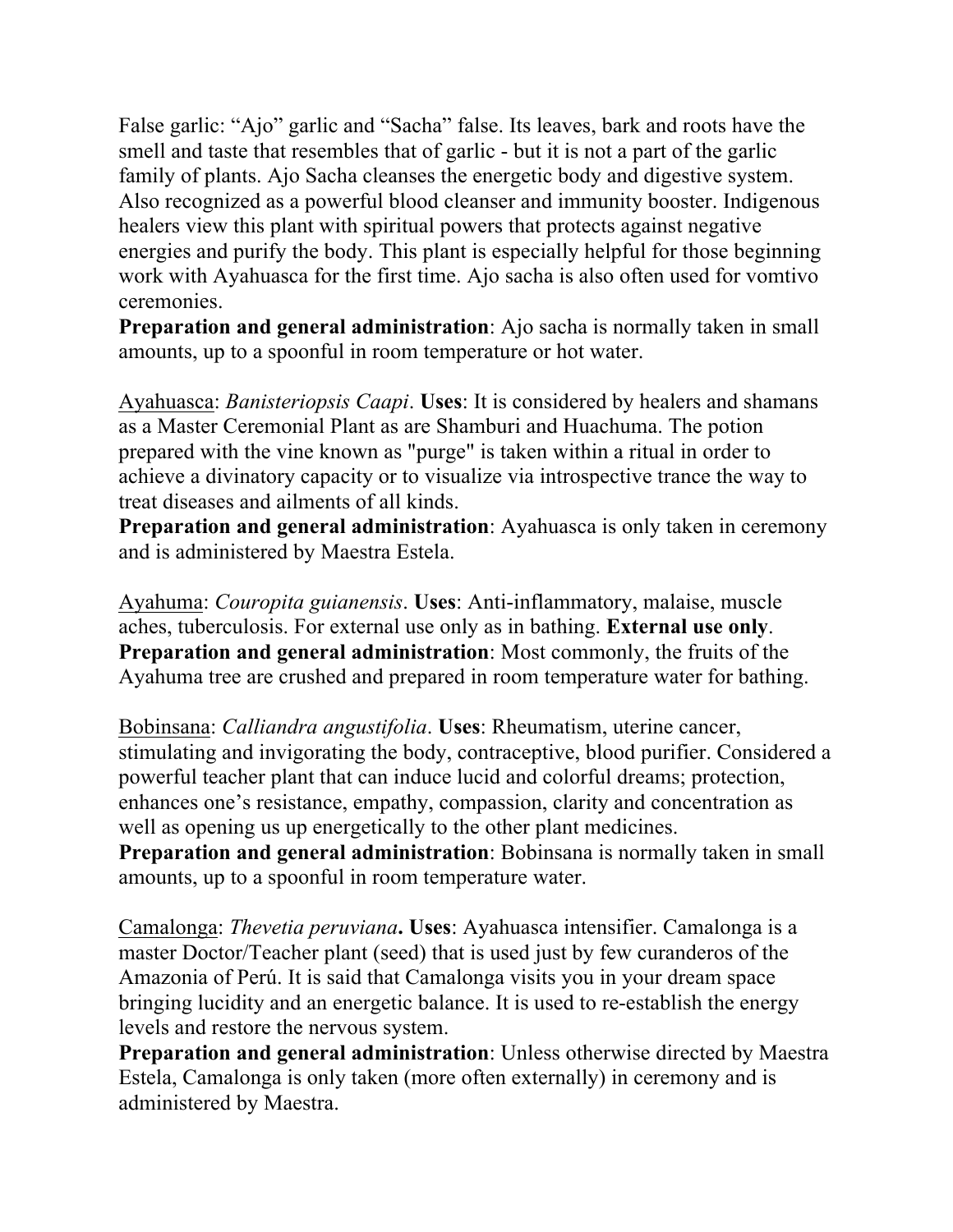False garlic: "Ajo" garlic and "Sacha" false. Its leaves, bark and roots have the smell and taste that resembles that of garlic - but it is not a part of the garlic family of plants. Ajo Sacha cleanses the energetic body and digestive system. Also recognized as a powerful blood cleanser and immunity booster. Indigenous healers view this plant with spiritual powers that protects against negative energies and purify the body. This plant is especially helpful for those beginning work with Ayahuasca for the first time. Ajo sacha is also often used for vomtivo ceremonies.

**Preparation and general administration**: Ajo sacha is normally taken in small amounts, up to a spoonful in room temperature or hot water.

Ayahuasca: *Banisteriopsis Caapi*. **Uses**: It is considered by healers and shamans as a Master Ceremonial Plant as are Shamburi and Huachuma. The potion prepared with the vine known as "purge" is taken within a ritual in order to achieve a divinatory capacity or to visualize via introspective trance the way to treat diseases and ailments of all kinds.

**Preparation and general administration**: Ayahuasca is only taken in ceremony and is administered by Maestra Estela.

Ayahuma: *Couropita guianensis*. **Uses**: Anti-inflammatory, malaise, muscle aches, tuberculosis. For external use only as in bathing. **External use only**. **Preparation and general administration**: Most commonly, the fruits of the Ayahuma tree are crushed and prepared in room temperature water for bathing.

Bobinsana: *Calliandra angustifolia*. **Uses**: Rheumatism, uterine cancer, stimulating and invigorating the body, contraceptive, blood purifier. Considered a powerful teacher plant that can induce lucid and colorful dreams; protection, enhances one's resistance, empathy, compassion, clarity and concentration as well as opening us up energetically to the other plant medicines. **Preparation and general administration**: Bobinsana is normally taken in small amounts, up to a spoonful in room temperature water.

Camalonga: *Thevetia peruviana***. Uses**: Ayahuasca intensifier. Camalonga is a master Doctor/Teacher plant (seed) that is used just by few curanderos of the Amazonia of Perú. It is said that Camalonga visits you in your dream space bringing lucidity and an energetic balance. It is used to re-establish the energy levels and restore the nervous system.

**Preparation and general administration**: Unless otherwise directed by Maestra Estela, Camalonga is only taken (more often externally) in ceremony and is administered by Maestra.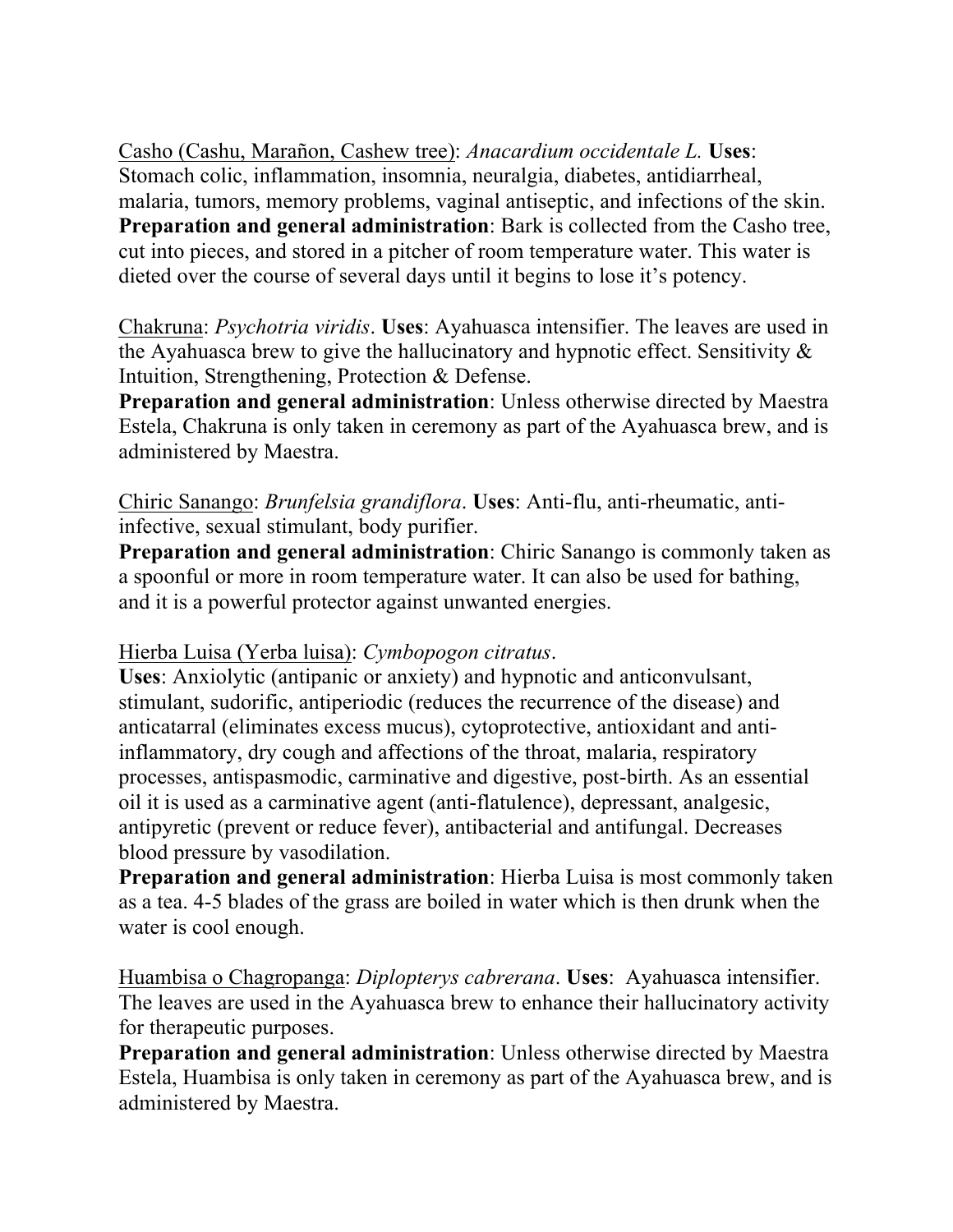Casho (Cashu, Marañon, Cashew tree): *Anacardium occidentale L.* **Uses**: Stomach colic, inflammation, insomnia, neuralgia, diabetes, antidiarrheal, malaria, tumors, memory problems, vaginal antiseptic, and infections of the skin. **Preparation and general administration**: Bark is collected from the Casho tree, cut into pieces, and stored in a pitcher of room temperature water. This water is dieted over the course of several days until it begins to lose it's potency.

Chakruna: *Psychotria viridis*. **Uses**: Ayahuasca intensifier. The leaves are used in the Ayahuasca brew to give the hallucinatory and hypnotic effect. Sensitivity  $\&$ Intuition, Strengthening, Protection & Defense.

**Preparation and general administration**: Unless otherwise directed by Maestra Estela, Chakruna is only taken in ceremony as part of the Ayahuasca brew, and is administered by Maestra.

Chiric Sanango: *Brunfelsia grandiflora*. **Uses**: Anti-flu, anti-rheumatic, antiinfective, sexual stimulant, body purifier.

**Preparation and general administration**: Chiric Sanango is commonly taken as a spoonful or more in room temperature water. It can also be used for bathing, and it is a powerful protector against unwanted energies.

## Hierba Luisa (Yerba luisa): *Cymbopogon citratus*.

**Uses**: Anxiolytic (antipanic or anxiety) and hypnotic and anticonvulsant, stimulant, sudorific, antiperiodic (reduces the recurrence of the disease) and anticatarral (eliminates excess mucus), cytoprotective, antioxidant and antiinflammatory, dry cough and affections of the throat, malaria, respiratory processes, antispasmodic, carminative and digestive, post-birth. As an essential oil it is used as a carminative agent (anti-flatulence), depressant, analgesic, antipyretic (prevent or reduce fever), antibacterial and antifungal. Decreases blood pressure by vasodilation.

**Preparation and general administration**: Hierba Luisa is most commonly taken as a tea. 4-5 blades of the grass are boiled in water which is then drunk when the water is cool enough.

Huambisa o Chagropanga: *Diplopterys cabrerana*. **Uses**: Ayahuasca intensifier. The leaves are used in the Ayahuasca brew to enhance their hallucinatory activity for therapeutic purposes.

**Preparation and general administration**: Unless otherwise directed by Maestra Estela, Huambisa is only taken in ceremony as part of the Ayahuasca brew, and is administered by Maestra.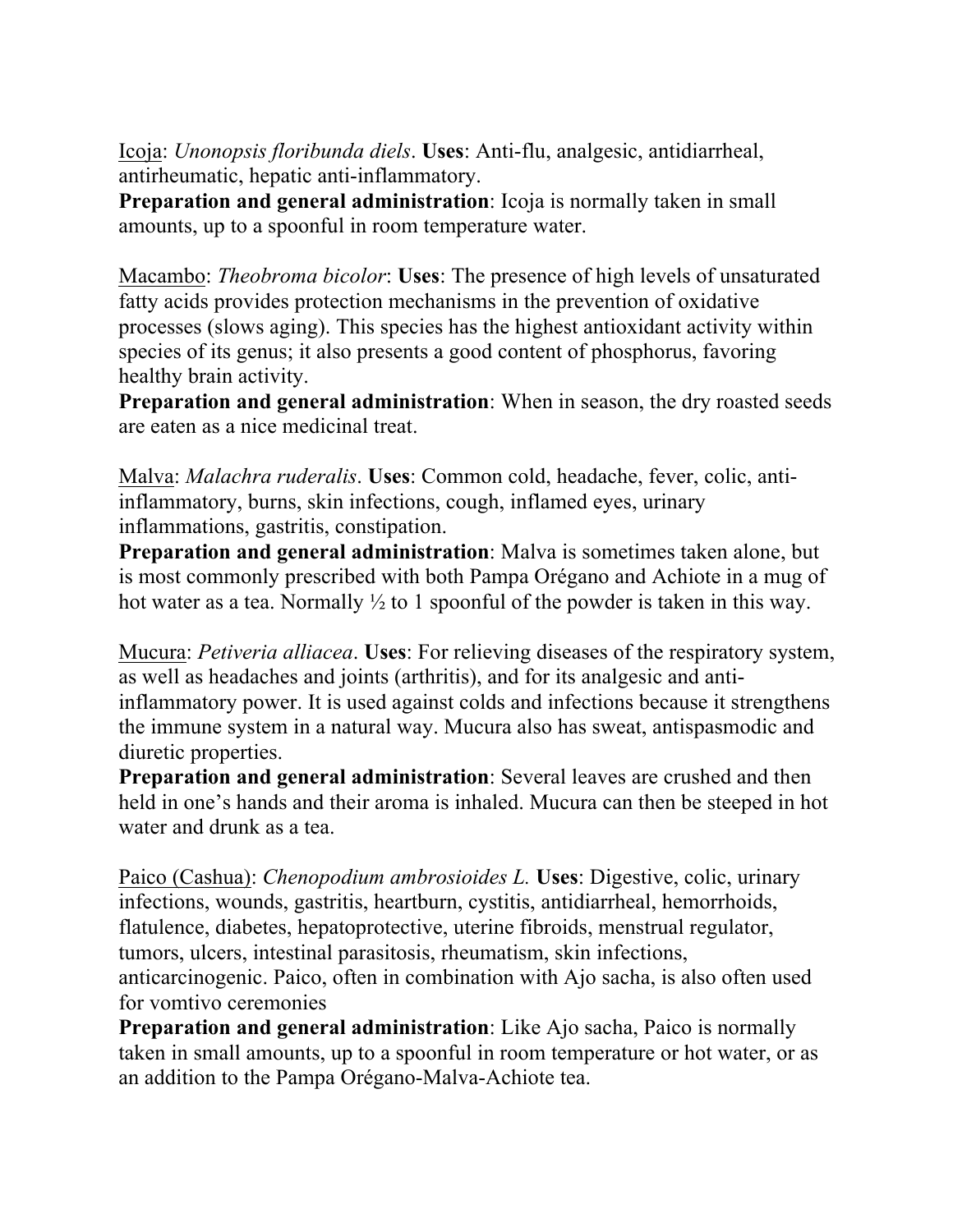Icoja: *Unonopsis floribunda diels*. **Uses**: Anti-flu, analgesic, antidiarrheal, antirheumatic, hepatic anti-inflammatory.

**Preparation and general administration**: Icoja is normally taken in small amounts, up to a spoonful in room temperature water.

Macambo: *Theobroma bicolor*: **Uses**: The presence of high levels of unsaturated fatty acids provides protection mechanisms in the prevention of oxidative processes (slows aging). This species has the highest antioxidant activity within species of its genus; it also presents a good content of phosphorus, favoring healthy brain activity.

**Preparation and general administration**: When in season, the dry roasted seeds are eaten as a nice medicinal treat.

Malva: *Malachra ruderalis*. **Uses**: Common cold, headache, fever, colic, antiinflammatory, burns, skin infections, cough, inflamed eyes, urinary inflammations, gastritis, constipation.

**Preparation and general administration**: Malva is sometimes taken alone, but is most commonly prescribed with both Pampa Orégano and Achiote in a mug of hot water as a tea. Normally  $\frac{1}{2}$  to 1 spoonful of the powder is taken in this way.

Mucura: *Petiveria alliacea*. **Uses**: For relieving diseases of the respiratory system, as well as headaches and joints (arthritis), and for its analgesic and antiinflammatory power. It is used against colds and infections because it strengthens the immune system in a natural way. Mucura also has sweat, antispasmodic and diuretic properties.

**Preparation and general administration**: Several leaves are crushed and then held in one's hands and their aroma is inhaled. Mucura can then be steeped in hot water and drunk as a tea.

Paico (Cashua): *Chenopodium ambrosioides L.* **Uses**: Digestive, colic, urinary infections, wounds, gastritis, heartburn, cystitis, antidiarrheal, hemorrhoids, flatulence, diabetes, hepatoprotective, uterine fibroids, menstrual regulator, tumors, ulcers, intestinal parasitosis, rheumatism, skin infections, anticarcinogenic. Paico, often in combination with Ajo sacha, is also often used for vomtivo ceremonies

**Preparation and general administration**: Like Ajo sacha, Paico is normally taken in small amounts, up to a spoonful in room temperature or hot water, or as an addition to the Pampa Orégano-Malva-Achiote tea.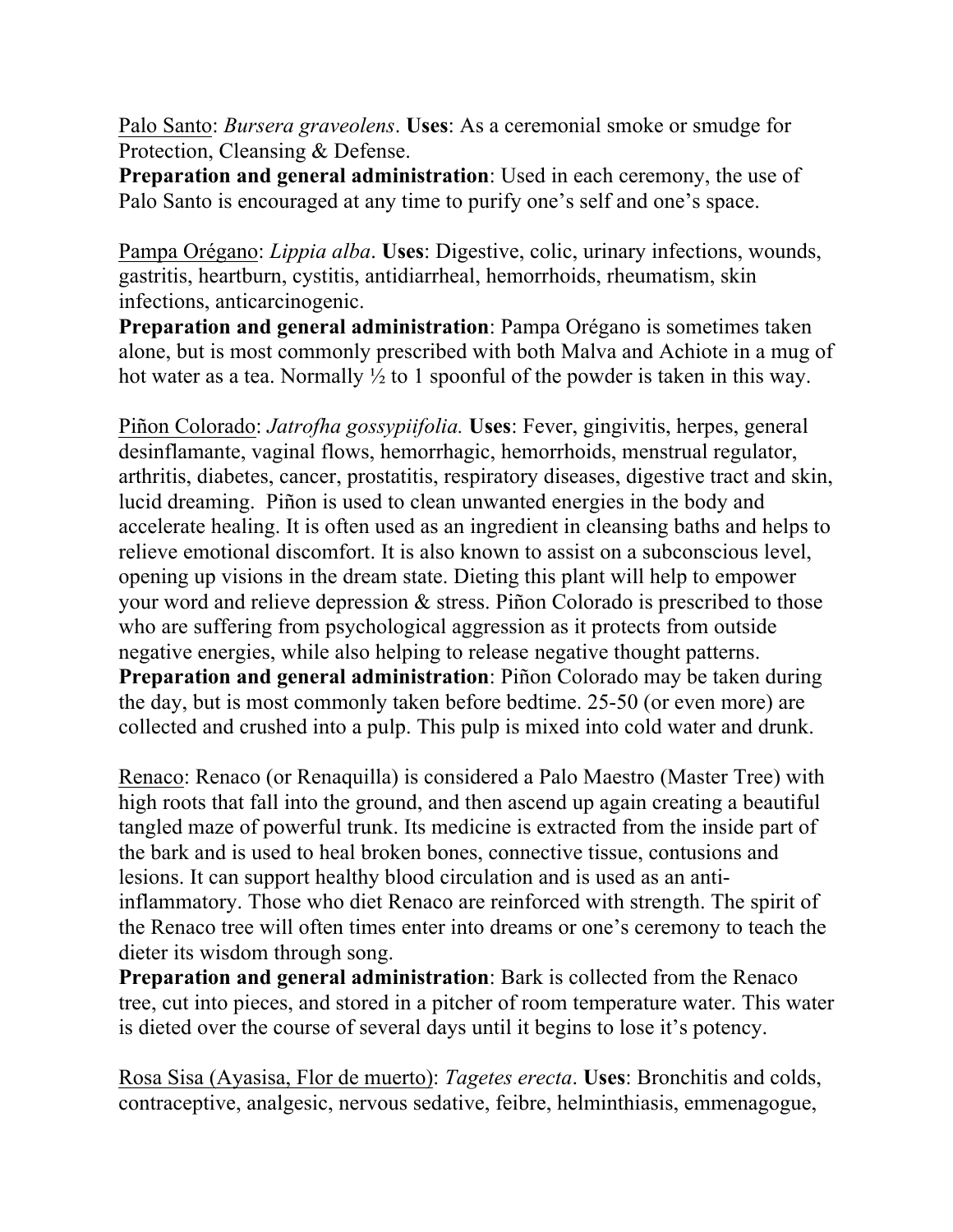Palo Santo: *Bursera graveolens*. **Uses**: As a ceremonial smoke or smudge for Protection, Cleansing & Defense.

**Preparation and general administration**: Used in each ceremony, the use of Palo Santo is encouraged at any time to purify one's self and one's space.

Pampa Orégano: *Lippia alba*. **Uses**: Digestive, colic, urinary infections, wounds, gastritis, heartburn, cystitis, antidiarrheal, hemorrhoids, rheumatism, skin infections, anticarcinogenic.

**Preparation and general administration**: Pampa Orégano is sometimes taken alone, but is most commonly prescribed with both Malva and Achiote in a mug of hot water as a tea. Normally  $\frac{1}{2}$  to 1 spoonful of the powder is taken in this way.

Piñon Colorado: *Jatrofha gossypiifolia.* **Uses**: Fever, gingivitis, herpes, general desinflamante, vaginal flows, hemorrhagic, hemorrhoids, menstrual regulator, arthritis, diabetes, cancer, prostatitis, respiratory diseases, digestive tract and skin, lucid dreaming. Piñon is used to clean unwanted energies in the body and accelerate healing. It is often used as an ingredient in cleansing baths and helps to relieve emotional discomfort. It is also known to assist on a subconscious level, opening up visions in the dream state. Dieting this plant will help to empower your word and relieve depression & stress. Piñon Colorado is prescribed to those who are suffering from psychological aggression as it protects from outside negative energies, while also helping to release negative thought patterns. **Preparation and general administration**: Piñon Colorado may be taken during the day, but is most commonly taken before bedtime. 25-50 (or even more) are collected and crushed into a pulp. This pulp is mixed into cold water and drunk.

Renaco: Renaco (or Renaquilla) is considered a Palo Maestro (Master Tree) with high roots that fall into the ground, and then ascend up again creating a beautiful tangled maze of powerful trunk. Its medicine is extracted from the inside part of the bark and is used to heal broken bones, connective tissue, contusions and lesions. It can support healthy blood circulation and is used as an antiinflammatory. Those who diet Renaco are reinforced with strength. The spirit of the Renaco tree will often times enter into dreams or one's ceremony to teach the dieter its wisdom through song.

**Preparation and general administration**: Bark is collected from the Renaco tree, cut into pieces, and stored in a pitcher of room temperature water. This water is dieted over the course of several days until it begins to lose it's potency.

Rosa Sisa (Ayasisa, Flor de muerto): *Tagetes erecta*. **Uses**: Bronchitis and colds, contraceptive, analgesic, nervous sedative, feibre, helminthiasis, emmenagogue,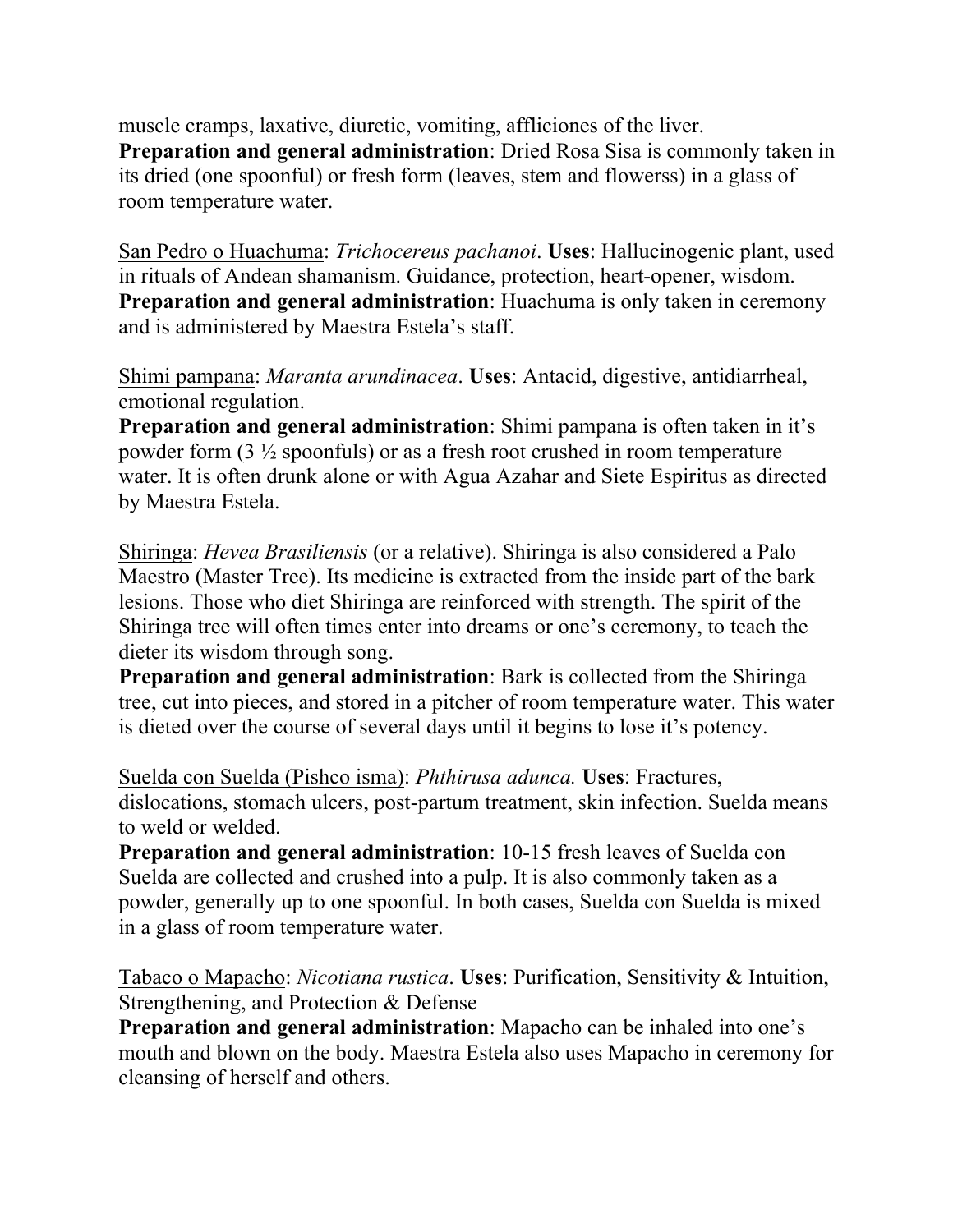muscle cramps, laxative, diuretic, vomiting, affliciones of the liver. **Preparation and general administration**: Dried Rosa Sisa is commonly taken in its dried (one spoonful) or fresh form (leaves, stem and flowerss) in a glass of room temperature water.

San Pedro o Huachuma: *Trichocereus pachanoi*. **Uses**: Hallucinogenic plant, used in rituals of Andean shamanism. Guidance, protection, heart-opener, wisdom. **Preparation and general administration**: Huachuma is only taken in ceremony and is administered by Maestra Estela's staff.

Shimi pampana: *Maranta arundinacea*. **Uses**: Antacid, digestive, antidiarrheal, emotional regulation.

**Preparation and general administration**: Shimi pampana is often taken in it's powder form (3 ½ spoonfuls) or as a fresh root crushed in room temperature water. It is often drunk alone or with Agua Azahar and Siete Espiritus as directed by Maestra Estela.

Shiringa: *Hevea Brasiliensis* (or a relative). Shiringa is also considered a Palo Maestro (Master Tree). Its medicine is extracted from the inside part of the bark lesions. Those who diet Shiringa are reinforced with strength. The spirit of the Shiringa tree will often times enter into dreams or one's ceremony, to teach the dieter its wisdom through song.

**Preparation and general administration**: Bark is collected from the Shiringa tree, cut into pieces, and stored in a pitcher of room temperature water. This water is dieted over the course of several days until it begins to lose it's potency.

Suelda con Suelda (Pishco isma): *Phthirusa adunca.* **Uses**: Fractures, dislocations, stomach ulcers, post-partum treatment, skin infection. Suelda means to weld or welded.

**Preparation and general administration**: 10-15 fresh leaves of Suelda con Suelda are collected and crushed into a pulp. It is also commonly taken as a powder, generally up to one spoonful. In both cases, Suelda con Suelda is mixed in a glass of room temperature water.

Tabaco o Mapacho: *Nicotiana rustica*. **Uses**: Purification, Sensitivity & Intuition, Strengthening, and Protection & Defense

**Preparation and general administration**: Mapacho can be inhaled into one's mouth and blown on the body. Maestra Estela also uses Mapacho in ceremony for cleansing of herself and others.